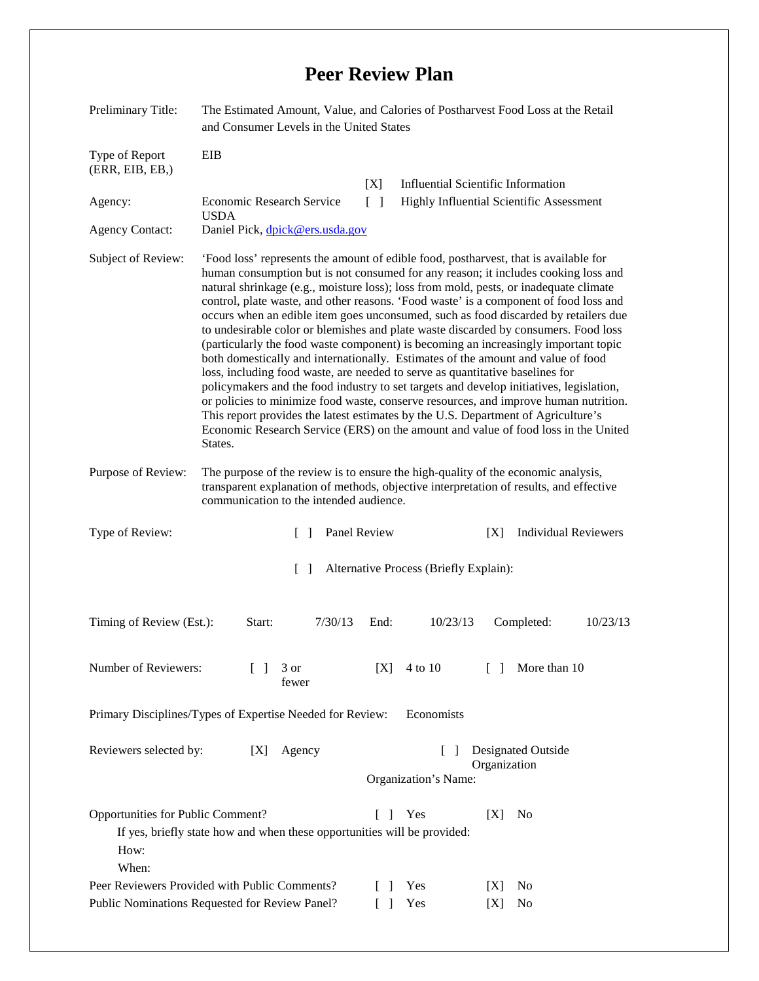## **Peer Review Plan**

| Preliminary Title:                                                      | The Estimated Amount, Value, and Calories of Postharvest Food Loss at the Retail<br>and Consumer Levels in the United States                                                                                                                                                                                                                                                                                                                                                                                                                                                                                                                                                                                                                                                                                                                                                                                                                                                                                                                                                                                                                                                    |                                        |                                                                                       |
|-------------------------------------------------------------------------|---------------------------------------------------------------------------------------------------------------------------------------------------------------------------------------------------------------------------------------------------------------------------------------------------------------------------------------------------------------------------------------------------------------------------------------------------------------------------------------------------------------------------------------------------------------------------------------------------------------------------------------------------------------------------------------------------------------------------------------------------------------------------------------------------------------------------------------------------------------------------------------------------------------------------------------------------------------------------------------------------------------------------------------------------------------------------------------------------------------------------------------------------------------------------------|----------------------------------------|---------------------------------------------------------------------------------------|
| Type of Report<br>(ERR, EIB, EB, )<br>Agency:<br><b>Agency Contact:</b> | EIB<br><b>Economic Research Service</b><br><b>USDA</b><br>Daniel Pick, dpick@ers.usda.gov                                                                                                                                                                                                                                                                                                                                                                                                                                                                                                                                                                                                                                                                                                                                                                                                                                                                                                                                                                                                                                                                                       | [X]<br>$\Box$                          | <b>Influential Scientific Information</b><br>Highly Influential Scientific Assessment |
| Subject of Review:                                                      | 'Food loss' represents the amount of edible food, postharvest, that is available for<br>human consumption but is not consumed for any reason; it includes cooking loss and<br>natural shrinkage (e.g., moisture loss); loss from mold, pests, or inadequate climate<br>control, plate waste, and other reasons. 'Food waste' is a component of food loss and<br>occurs when an edible item goes unconsumed, such as food discarded by retailers due<br>to undesirable color or blemishes and plate waste discarded by consumers. Food loss<br>(particularly the food waste component) is becoming an increasingly important topic<br>both domestically and internationally. Estimates of the amount and value of food<br>loss, including food waste, are needed to serve as quantitative baselines for<br>policymakers and the food industry to set targets and develop initiatives, legislation,<br>or policies to minimize food waste, conserve resources, and improve human nutrition.<br>This report provides the latest estimates by the U.S. Department of Agriculture's<br>Economic Research Service (ERS) on the amount and value of food loss in the United<br>States. |                                        |                                                                                       |
| Purpose of Review:                                                      | The purpose of the review is to ensure the high-quality of the economic analysis,<br>transparent explanation of methods, objective interpretation of results, and effective<br>communication to the intended audience.                                                                                                                                                                                                                                                                                                                                                                                                                                                                                                                                                                                                                                                                                                                                                                                                                                                                                                                                                          |                                        |                                                                                       |
| Type of Review:                                                         | Panel Review<br>$\Box$                                                                                                                                                                                                                                                                                                                                                                                                                                                                                                                                                                                                                                                                                                                                                                                                                                                                                                                                                                                                                                                                                                                                                          |                                        | <b>Individual Reviewers</b><br>[X]                                                    |
|                                                                         |                                                                                                                                                                                                                                                                                                                                                                                                                                                                                                                                                                                                                                                                                                                                                                                                                                                                                                                                                                                                                                                                                                                                                                                 |                                        |                                                                                       |
|                                                                         | $\Box$                                                                                                                                                                                                                                                                                                                                                                                                                                                                                                                                                                                                                                                                                                                                                                                                                                                                                                                                                                                                                                                                                                                                                                          | Alternative Process (Briefly Explain): |                                                                                       |
| Timing of Review (Est.):                                                | 7/30/13<br>Start:                                                                                                                                                                                                                                                                                                                                                                                                                                                                                                                                                                                                                                                                                                                                                                                                                                                                                                                                                                                                                                                                                                                                                               | End:<br>10/23/13                       | Completed:<br>10/23/13                                                                |
| Number of Reviewers:                                                    | $\Box$<br>3 or<br>fewer                                                                                                                                                                                                                                                                                                                                                                                                                                                                                                                                                                                                                                                                                                                                                                                                                                                                                                                                                                                                                                                                                                                                                         | 4 to 10<br>[X]                         | More than 10<br>$\Box$                                                                |
|                                                                         | Primary Disciplines/Types of Expertise Needed for Review:                                                                                                                                                                                                                                                                                                                                                                                                                                                                                                                                                                                                                                                                                                                                                                                                                                                                                                                                                                                                                                                                                                                       | Economists                             |                                                                                       |
| Reviewers selected by:                                                  | Agency<br>[X]                                                                                                                                                                                                                                                                                                                                                                                                                                                                                                                                                                                                                                                                                                                                                                                                                                                                                                                                                                                                                                                                                                                                                                   | $\Box$<br>Organization's Name:         | Designated Outside<br>Organization                                                    |
| Opportunities for Public Comment?<br>How:<br>When:                      | If yes, briefly state how and when these opportunities will be provided:                                                                                                                                                                                                                                                                                                                                                                                                                                                                                                                                                                                                                                                                                                                                                                                                                                                                                                                                                                                                                                                                                                        | $\Box$<br>Yes                          | [X]<br>N <sub>0</sub>                                                                 |